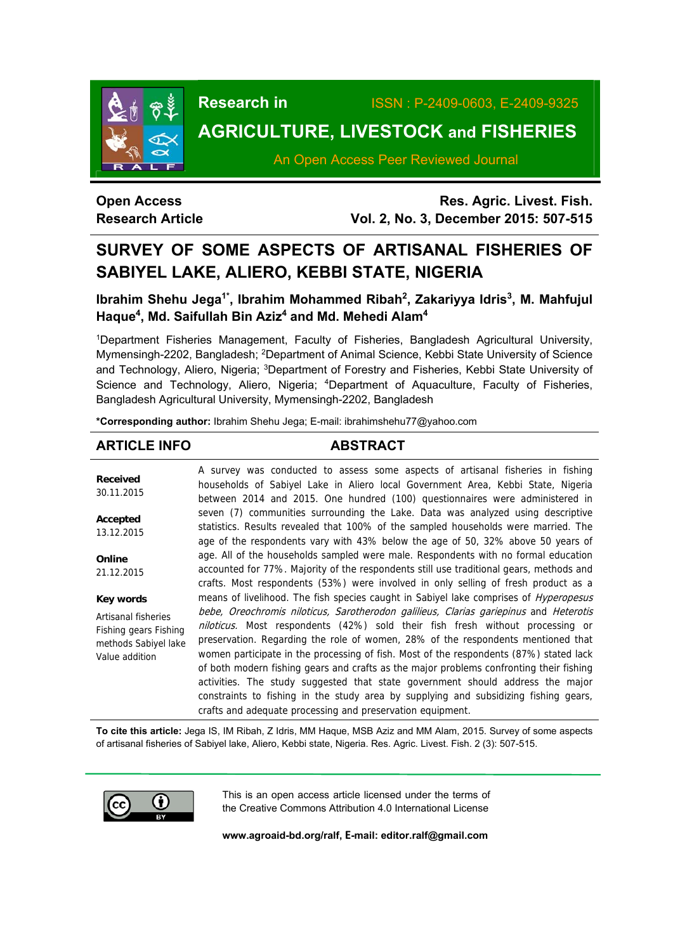

# **Research in** ISSN : P-2409-0603, E-2409-9325 **AGRICULTURE, LIVESTOCK and FISHERIES**

An Open Access Peer Reviewed Journal

# **Open Access Research Article**

**Res. Agric. Livest. Fish. Vol. 2, No. 3, December 2015: 507-515**

# **SURVEY OF SOME ASPECTS OF ARTISANAL FISHERIES OF SABIYEL LAKE, ALIERO, KEBBI STATE, NIGERIA**

# Ibrahim Shehu Jega<sup>1\*</sup>, Ibrahim Mohammed Ribah<sup>2</sup>, Zakariyya Idris<sup>3</sup>, M. Mahfujul **Haque4, Md. Saifullah Bin Aziz4 and Md. Mehedi Alam4**

1Department Fisheries Management, Faculty of Fisheries, Bangladesh Agricultural University, Mymensingh-2202, Bangladesh; <sup>2</sup>Department of Animal Science, Kebbi State University of Science and Technology, Aliero, Nigeria; <sup>3</sup>Department of Forestry and Fisheries, Kebbi State University of Science and Technology, Aliero, Nigeria; <sup>4</sup>Department of Aquaculture, Faculty of Fisheries, Bangladesh Agricultural University, Mymensingh-2202, Bangladesh

**\*Corresponding author:** Ibrahim Shehu Jega; E-mail: ibrahimshehu77@yahoo.com

# **ARTICLE INFO ABSTRACT**

**Received**  30.11.2015 **Accepted**  13.12.2015 **Online**  21.12.2015 **Key words** Artisanal fisheries Fishing gears Fishing methods Sabiyel lake Value addition A survey was conducted to assess some aspects of artisanal fisheries in fishing households of Sabiyel Lake in Aliero local Government Area, Kebbi State, Nigeria between 2014 and 2015. One hundred (100) questionnaires were administered in seven (7) communities surrounding the Lake. Data was analyzed using descriptive statistics. Results revealed that 100% of the sampled households were married. The age of the respondents vary with 43% below the age of 50, 32% above 50 years of age. All of the households sampled were male. Respondents with no formal education accounted for 77%. Majority of the respondents still use traditional gears, methods and crafts. Most respondents (53%) were involved in only selling of fresh product as a means of livelihood. The fish species caught in Sabiyel lake comprises of *Hyperopesus* bebe, Oreochromis niloticus, Sarotherodon galilieus, Clarias gariepinus and Heterotis niloticus. Most respondents (42%) sold their fish fresh without processing or preservation. Regarding the role of women, 28% of the respondents mentioned that women participate in the processing of fish. Most of the respondents (87%) stated lack of both modern fishing gears and crafts as the major problems confronting their fishing activities. The study suggested that state government should address the major constraints to fishing in the study area by supplying and subsidizing fishing gears, crafts and adequate processing and preservation equipment.

**To cite this article:** Jega IS, IM Ribah, Z Idris, MM Haque, MSB Aziz and MM Alam, 2015. Survey of some aspects of artisanal fisheries of Sabiyel lake, Aliero, Kebbi state, Nigeria. Res. Agric. Livest. Fish. 2 (3): 507-515.



This is an open access article licensed under the terms of the Creative Commons Attribution 4.0 International License

**www.agroaid-bd.org/ralf, E-mail: editor.ralf@gmail.com**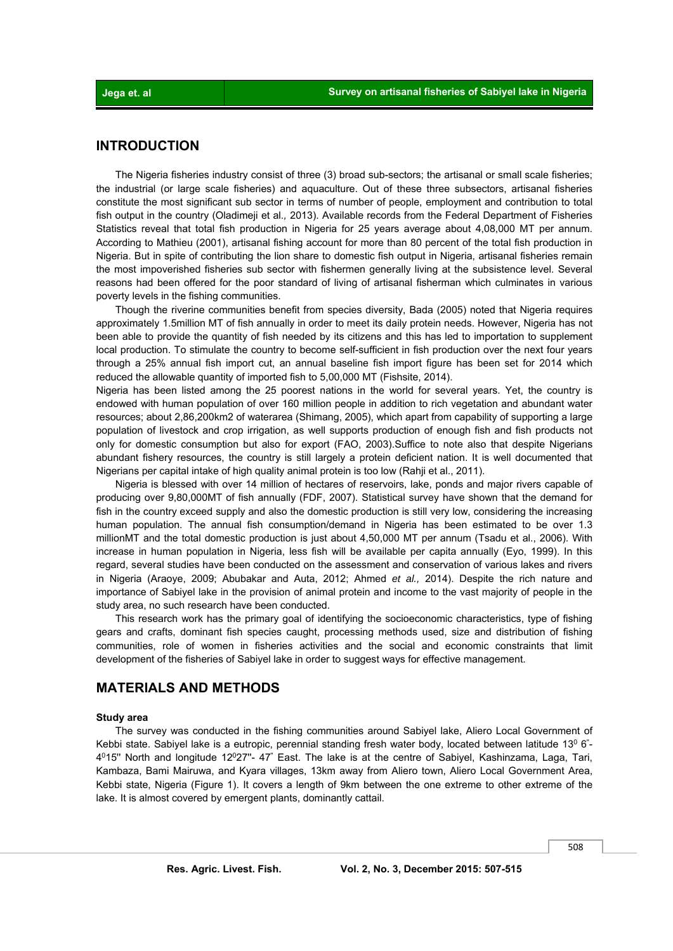# **INTRODUCTION**

 The Nigeria fisheries industry consist of three (3) broad sub-sectors; the artisanal or small scale fisheries; the industrial (or large scale fisheries) and aquaculture. Out of these three subsectors, artisanal fisheries constitute the most significant sub sector in terms of number of people, employment and contribution to total fish output in the country (Oladimeji et al.*,* 2013). Available records from the Federal Department of Fisheries Statistics reveal that total fish production in Nigeria for 25 years average about 4,08,000 MT per annum. According to Mathieu (2001), artisanal fishing account for more than 80 percent of the total fish production in Nigeria. But in spite of contributing the lion share to domestic fish output in Nigeria, artisanal fisheries remain the most impoverished fisheries sub sector with fishermen generally living at the subsistence level. Several reasons had been offered for the poor standard of living of artisanal fisherman which culminates in various poverty levels in the fishing communities.

 Though the riverine communities benefit from species diversity, Bada (2005) noted that Nigeria requires approximately 1.5million MT of fish annually in order to meet its daily protein needs. However, Nigeria has not been able to provide the quantity of fish needed by its citizens and this has led to importation to supplement local production. To stimulate the country to become self-sufficient in fish production over the next four years through a 25% annual fish import cut, an annual baseline fish import figure has been set for 2014 which reduced the allowable quantity of imported fish to 5,00,000 MT (Fishsite, 2014).

Nigeria has been listed among the 25 poorest nations in the world for several years. Yet, the country is endowed with human population of over 160 million people in addition to rich vegetation and abundant water resources; about 2,86,200km2 of waterarea (Shimang, 2005), which apart from capability of supporting a large population of livestock and crop irrigation, as well supports production of enough fish and fish products not only for domestic consumption but also for export (FAO, 2003).Suffice to note also that despite Nigerians abundant fishery resources, the country is still largely a protein deficient nation. It is well documented that Nigerians per capital intake of high quality animal protein is too low (Rahji et al., 2011).

 Nigeria is blessed with over 14 million of hectares of reservoirs, lake, ponds and major rivers capable of producing over 9,80,000MT of fish annually (FDF, 2007). Statistical survey have shown that the demand for fish in the country exceed supply and also the domestic production is still very low, considering the increasing human population. The annual fish consumption/demand in Nigeria has been estimated to be over 1.3 millionMT and the total domestic production is just about 4,50,000 MT per annum (Tsadu et al., 2006). With increase in human population in Nigeria, less fish will be available per capita annually (Eyo, 1999). In this regard, several studies have been conducted on the assessment and conservation of various lakes and rivers in Nigeria (Araoye, 2009; Abubakar and Auta, 2012; Ahmed *et al.,* 2014). Despite the rich nature and importance of Sabiyel lake in the provision of animal protein and income to the vast majority of people in the study area, no such research have been conducted.

 This research work has the primary goal of identifying the socioeconomic characteristics, type of fishing gears and crafts, dominant fish species caught, processing methods used, size and distribution of fishing communities, role of women in fisheries activities and the social and economic constraints that limit development of the fisheries of Sabiyel lake in order to suggest ways for effective management.

# **MATERIALS AND METHODS**

#### **Study area**

 The survey was conducted in the fishing communities around Sabiyel lake, Aliero Local Government of Kebbi state. Sabiyel lake is a eutropic, perennial standing fresh water body, located between latitude 13<sup>0</sup> 6<sup>-</sup>- $4^{\circ}15^{\circ}$  North and longitude  $12^{\circ}27^{\circ}$ - 47" East. The lake is at the centre of Sabiyel, Kashinzama, Laga, Tari, Kambaza, Bami Mairuwa, and Kyara villages, 13km away from Aliero town, Aliero Local Government Area, Kebbi state, Nigeria (Figure 1). It covers a length of 9km between the one extreme to other extreme of the lake. It is almost covered by emergent plants, dominantly cattail.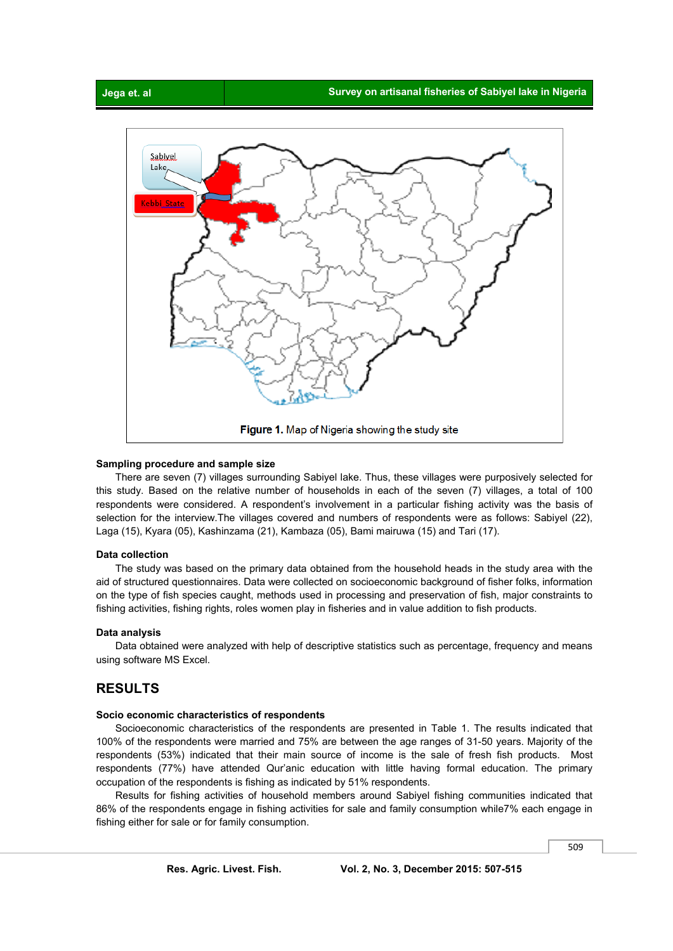

#### **Sampling procedure and sample size**

 There are seven (7) villages surrounding Sabiyel lake. Thus, these villages were purposively selected for this study. Based on the relative number of households in each of the seven (7) villages, a total of 100 respondents were considered. A respondent's involvement in a particular fishing activity was the basis of selection for the interview.The villages covered and numbers of respondents were as follows: Sabiyel (22), Laga (15), Kyara (05), Kashinzama (21), Kambaza (05), Bami mairuwa (15) and Tari (17).

#### **Data collection**

 The study was based on the primary data obtained from the household heads in the study area with the aid of structured questionnaires. Data were collected on socioeconomic background of fisher folks, information on the type of fish species caught, methods used in processing and preservation of fish, major constraints to fishing activities, fishing rights, roles women play in fisheries and in value addition to fish products.

#### **Data analysis**

 Data obtained were analyzed with help of descriptive statistics such as percentage, frequency and means using software MS Excel.

## **RESULTS**

#### **Socio economic characteristics of respondents**

 Socioeconomic characteristics of the respondents are presented in Table 1. The results indicated that 100% of the respondents were married and 75% are between the age ranges of 31-50 years. Majority of the respondents (53%) indicated that their main source of income is the sale of fresh fish products. Most respondents (77%) have attended Qur'anic education with little having formal education. The primary occupation of the respondents is fishing as indicated by 51% respondents.

 Results for fishing activities of household members around Sabiyel fishing communities indicated that 86% of the respondents engage in fishing activities for sale and family consumption while7% each engage in fishing either for sale or for family consumption.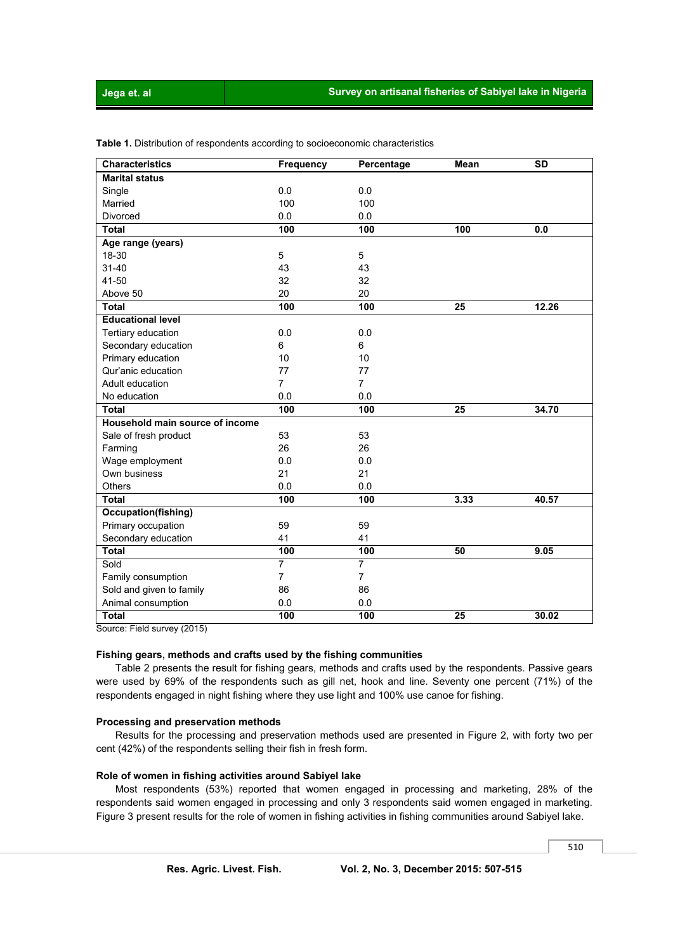#### **Jega et. al Survey on artisanal fisheries of Sabiyel lake in Nigeria**

| <b>Characteristics</b>          | Frequency      | Percentage     | <b>Mean</b>     | <b>SD</b> |
|---------------------------------|----------------|----------------|-----------------|-----------|
| <b>Marital status</b>           |                |                |                 |           |
| Single                          | 0.0            | 0.0            |                 |           |
| Married                         | 100            | 100            |                 |           |
| <b>Divorced</b>                 | 0.0            | 0.0            |                 |           |
| <b>Total</b>                    | 100            | 100            | 100             | 0.0       |
| Age range (years)               |                |                |                 |           |
| 18-30                           | 5              | 5              |                 |           |
| $31 - 40$                       | 43             | 43             |                 |           |
| 41-50                           | 32             | 32             |                 |           |
| Above 50                        | 20             | 20             |                 |           |
| <b>Total</b>                    | 100            | 100            | $\overline{25}$ | 12.26     |
| <b>Educational level</b>        |                |                |                 |           |
| Tertiary education              | 0.0            | 0.0            |                 |           |
| Secondary education             | 6              | 6              |                 |           |
| Primary education               | 10             | 10             |                 |           |
| Qur'anic education              | 77             | 77             |                 |           |
| Adult education                 | $\overline{7}$ | $\overline{7}$ |                 |           |
| No education                    | 0.0            | 0.0            |                 |           |
| <b>Total</b>                    | 100            | 100            | 25              | 34.70     |
| Household main source of income |                |                |                 |           |
| Sale of fresh product           | 53             | 53             |                 |           |
| Farming                         | 26             | 26             |                 |           |
| Wage employment                 | 0.0            | 0.0            |                 |           |
| Own business                    | 21             | 21             |                 |           |
| <b>Others</b>                   | 0.0            | 0.0            |                 |           |
| <b>Total</b>                    | 100            | 100            | 3.33            | 40.57     |
| Occupation(fishing)             |                |                |                 |           |
| Primary occupation              | 59             | 59             |                 |           |
| Secondary education             | 41             | 41             |                 |           |
| <b>Total</b>                    | 100            | 100            | 50              | 9.05      |
| Sold                            | 7              | 7              |                 |           |
| Family consumption              | 7              | $\overline{7}$ |                 |           |
| Sold and given to family        | 86             | 86             |                 |           |
| Animal consumption              | 0.0            | 0.0            |                 |           |
| <b>Total</b>                    | 100            | 100            | $\overline{25}$ | 30.02     |

**Table 1.** Distribution of respondents according to socioeconomic characteristics

Source: Field survey (2015)

#### **Fishing gears, methods and crafts used by the fishing communities**

 Table 2 presents the result for fishing gears, methods and crafts used by the respondents. Passive gears were used by 69% of the respondents such as gill net, hook and line. Seventy one percent (71%) of the respondents engaged in night fishing where they use light and 100% use canoe for fishing.

#### **Processing and preservation methods**

 Results for the processing and preservation methods used are presented in Figure 2, with forty two per cent (42%) of the respondents selling their fish in fresh form.

#### **Role of women in fishing activities around Sabiyel lake**

Most respondents (53%) reported that women engaged in processing and marketing, 28% of the respondents said women engaged in processing and only 3 respondents said women engaged in marketing. Figure 3 present results for the role of women in fishing activities in fishing communities around Sabiyel lake.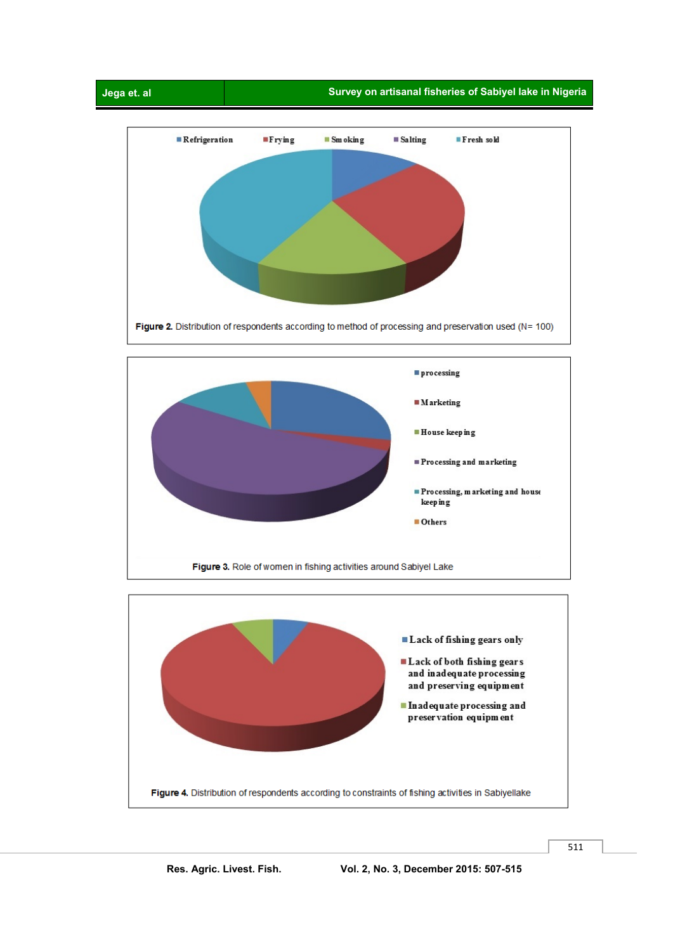



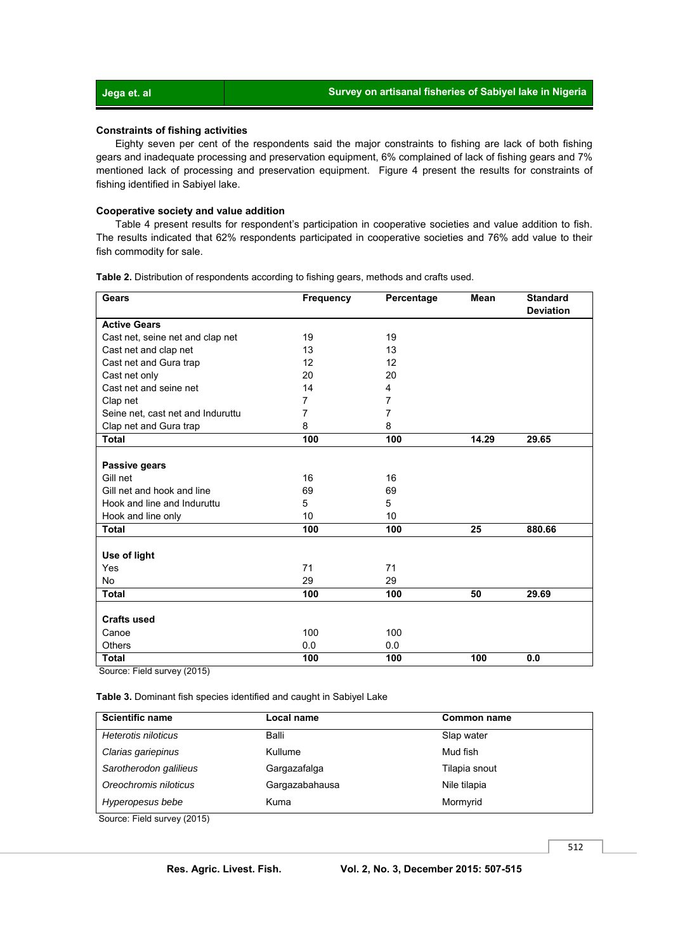#### **Constraints of fishing activities**

Eighty seven per cent of the respondents said the major constraints to fishing are lack of both fishing gears and inadequate processing and preservation equipment, 6% complained of lack of fishing gears and 7% mentioned lack of processing and preservation equipment. Figure 4 present the results for constraints of fishing identified in Sabiyel lake.

#### **Cooperative society and value addition**

 Table 4 present results for respondent's participation in cooperative societies and value addition to fish. The results indicated that 62% respondents participated in cooperative societies and 76% add value to their fish commodity for sale.

| <b>Gears</b>                      | <b>Frequency</b> | Percentage       | Mean  | <b>Standard</b>  |
|-----------------------------------|------------------|------------------|-------|------------------|
|                                   |                  |                  |       | <b>Deviation</b> |
| <b>Active Gears</b>               |                  |                  |       |                  |
| Cast net, seine net and clap net  | 19               | 19               |       |                  |
| Cast net and clap net             | 13               | 13               |       |                  |
| Cast net and Gura trap            | 12               | 12               |       |                  |
| Cast net only                     | 20               | 20               |       |                  |
| Cast net and seine net            | 14               | 4                |       |                  |
| Clap net                          | $\overline{7}$   | 7                |       |                  |
| Seine net, cast net and Induruttu | 7                | 7                |       |                  |
| Clap net and Gura trap            | 8                | 8                |       |                  |
| Total                             | 100              | $\overline{100}$ | 14.29 | 29.65            |
|                                   |                  |                  |       |                  |
| Passive gears                     |                  |                  |       |                  |
| Gill net                          | 16               | 16               |       |                  |
| Gill net and hook and line        | 69               | 69               |       |                  |
| Hook and line and Induruttu       | 5                | 5                |       |                  |
| Hook and line only                | 10               | 10               |       |                  |
| <b>Total</b>                      | 100              | 100              | 25    | 880.66           |
|                                   |                  |                  |       |                  |
| Use of light                      |                  |                  |       |                  |
| Yes                               | 71               | 71               |       |                  |
| No                                | 29               | 29               |       |                  |
| <b>Total</b>                      | 100              | 100              | 50    | 29.69            |
|                                   |                  |                  |       |                  |
| <b>Crafts used</b>                |                  |                  |       |                  |
| Canoe                             | 100              | 100              |       |                  |
| <b>Others</b>                     | 0.0              | 0.0              |       |                  |
| <b>Total</b>                      | 100              | 100              | 100   | 0.0              |

**Table 2.** Distribution of respondents according to fishing gears, methods and crafts used.

Source: Field survey (2015)

**Table 3.** Dominant fish species identified and caught in Sabiyel Lake

| <b>Scientific name</b> | Local name     | <b>Common name</b> |
|------------------------|----------------|--------------------|
| Heterotis niloticus    | Balli          | Slap water         |
| Clarias gariepinus     | Kullume        | Mud fish           |
| Sarotherodon galilieus | Gargazafalga   | Tilapia snout      |
| Oreochromis niloticus  | Gargazabahausa | Nile tilapia       |
| Hyperopesus bebe       | Kuma           | Mormyrid           |

Source: Field survey (2015)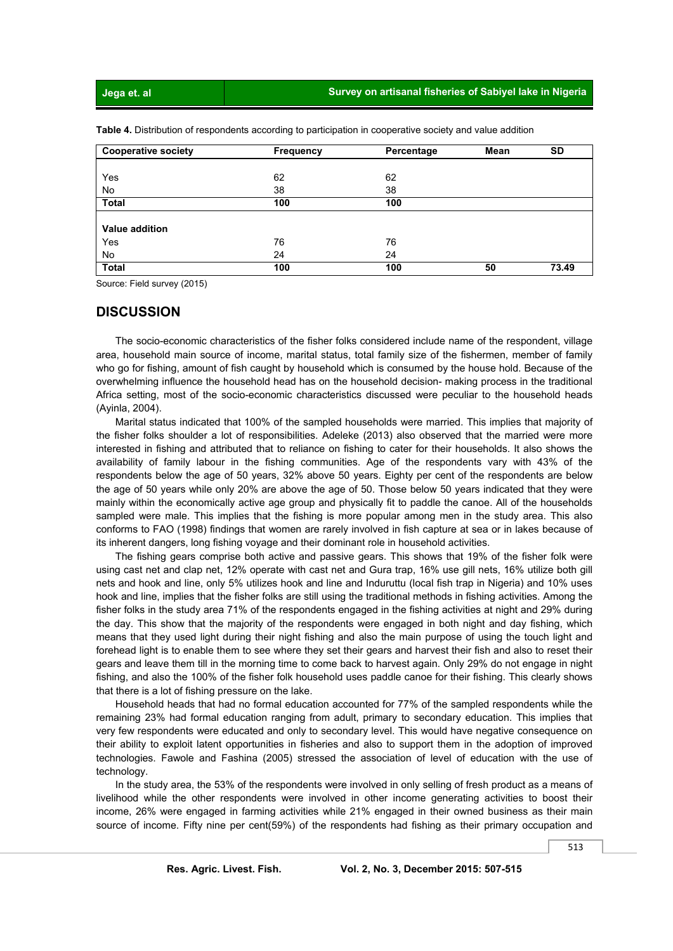#### **Jega et. al Survey on artisanal fisheries of Sabiyel lake in Nigeria**

| <b>Cooperative society</b> | <b>Frequency</b> | Percentage | <b>Mean</b> | <b>SD</b> |
|----------------------------|------------------|------------|-------------|-----------|
|                            |                  |            |             |           |
| Yes                        | 62               | 62         |             |           |
| No                         | 38               | 38         |             |           |
| <b>Total</b>               | 100              | 100        |             |           |
|                            |                  |            |             |           |
| <b>Value addition</b>      |                  |            |             |           |
| Yes                        | 76               | 76         |             |           |
| No                         | 24               | 24         |             |           |
| <b>Total</b>               | 100              | 100        | 50          | 73.49     |

**Table 4.** Distribution of respondents according to participation in cooperative society and value addition

Source: Field survey (2015)

#### **DISCUSSION**

 The socio-economic characteristics of the fisher folks considered include name of the respondent, village area, household main source of income, marital status, total family size of the fishermen, member of family who go for fishing, amount of fish caught by household which is consumed by the house hold. Because of the overwhelming influence the household head has on the household decision- making process in the traditional Africa setting, most of the socio-economic characteristics discussed were peculiar to the household heads (Ayinla, 2004).

 Marital status indicated that 100% of the sampled households were married. This implies that majority of the fisher folks shoulder a lot of responsibilities. Adeleke (2013) also observed that the married were more interested in fishing and attributed that to reliance on fishing to cater for their households. It also shows the availability of family labour in the fishing communities. Age of the respondents vary with 43% of the respondents below the age of 50 years, 32% above 50 years. Eighty per cent of the respondents are below the age of 50 years while only 20% are above the age of 50. Those below 50 years indicated that they were mainly within the economically active age group and physically fit to paddle the canoe. All of the households sampled were male. This implies that the fishing is more popular among men in the study area. This also conforms to FAO (1998) findings that women are rarely involved in fish capture at sea or in lakes because of its inherent dangers, long fishing voyage and their dominant role in household activities.

 The fishing gears comprise both active and passive gears. This shows that 19% of the fisher folk were using cast net and clap net, 12% operate with cast net and Gura trap, 16% use gill nets, 16% utilize both gill nets and hook and line, only 5% utilizes hook and line and Induruttu (local fish trap in Nigeria) and 10% uses hook and line, implies that the fisher folks are still using the traditional methods in fishing activities. Among the fisher folks in the study area 71% of the respondents engaged in the fishing activities at night and 29% during the day. This show that the majority of the respondents were engaged in both night and day fishing, which means that they used light during their night fishing and also the main purpose of using the touch light and forehead light is to enable them to see where they set their gears and harvest their fish and also to reset their gears and leave them till in the morning time to come back to harvest again. Only 29% do not engage in night fishing, and also the 100% of the fisher folk household uses paddle canoe for their fishing. This clearly shows that there is a lot of fishing pressure on the lake.

 Household heads that had no formal education accounted for 77% of the sampled respondents while the remaining 23% had formal education ranging from adult, primary to secondary education. This implies that very few respondents were educated and only to secondary level. This would have negative consequence on their ability to exploit latent opportunities in fisheries and also to support them in the adoption of improved technologies. Fawole and Fashina (2005) stressed the association of level of education with the use of technology.

 In the study area, the 53% of the respondents were involved in only selling of fresh product as a means of livelihood while the other respondents were involved in other income generating activities to boost their income, 26% were engaged in farming activities while 21% engaged in their owned business as their main source of income. Fifty nine per cent(59%) of the respondents had fishing as their primary occupation and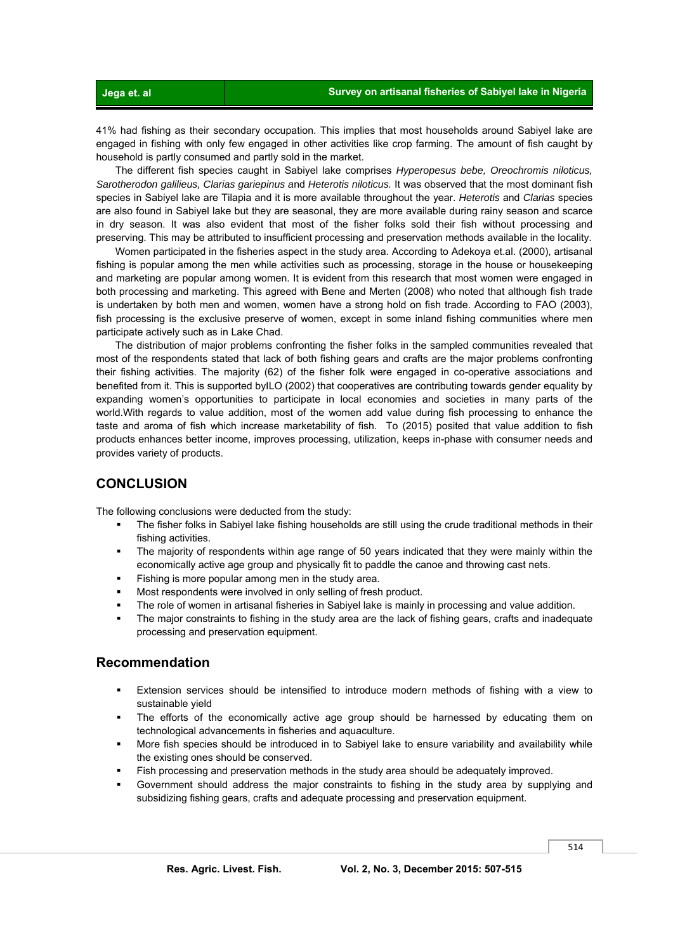41% had fishing as their secondary occupation. This implies that most households around Sabiyel lake are engaged in fishing with only few engaged in other activities like crop farming. The amount of fish caught by household is partly consumed and partly sold in the market.

 The different fish species caught in Sabiyel lake comprises *Hyperopesus bebe, Oreochromis niloticus, Sarotherodon galilieus, Clarias gariepinus a*nd *Heterotis niloticus.* It was observed that the most dominant fish species in Sabiyel lake are Tilapia and it is more available throughout the year. *Heterotis* and *Clarias* species are also found in Sabiyel lake but they are seasonal, they are more available during rainy season and scarce in dry season. It was also evident that most of the fisher folks sold their fish without processing and preserving. This may be attributed to insufficient processing and preservation methods available in the locality.

 Women participated in the fisheries aspect in the study area. According to Adekoya et.al. (2000), artisanal fishing is popular among the men while activities such as processing, storage in the house or housekeeping and marketing are popular among women. It is evident from this research that most women were engaged in both processing and marketing. This agreed with Bene and Merten (2008) who noted that although fish trade is undertaken by both men and women, women have a strong hold on fish trade. According to FAO (2003), fish processing is the exclusive preserve of women, except in some inland fishing communities where men participate actively such as in Lake Chad.

 The distribution of major problems confronting the fisher folks in the sampled communities revealed that most of the respondents stated that lack of both fishing gears and crafts are the major problems confronting their fishing activities. The majority (62) of the fisher folk were engaged in co-operative associations and benefited from it. This is supported byILO (2002) that cooperatives are contributing towards gender equality by expanding women's opportunities to participate in local economies and societies in many parts of the world.With regards to value addition, most of the women add value during fish processing to enhance the taste and aroma of fish which increase marketability of fish. To (2015) posited that value addition to fish products enhances better income, improves processing, utilization, keeps in-phase with consumer needs and provides variety of products.

## **CONCLUSION**

The following conclusions were deducted from the study:

- The fisher folks in Sabiyel lake fishing households are still using the crude traditional methods in their fishing activities.
- The majority of respondents within age range of 50 years indicated that they were mainly within the economically active age group and physically fit to paddle the canoe and throwing cast nets.
- Fishing is more popular among men in the study area.
- Most respondents were involved in only selling of fresh product.
- The role of women in artisanal fisheries in Sabiyel lake is mainly in processing and value addition.
- The major constraints to fishing in the study area are the lack of fishing gears, crafts and inadequate processing and preservation equipment.

### **Recommendation**

- Extension services should be intensified to introduce modern methods of fishing with a view to sustainable yield
- The efforts of the economically active age group should be harnessed by educating them on technological advancements in fisheries and aquaculture.
- More fish species should be introduced in to Sabiyel lake to ensure variability and availability while the existing ones should be conserved.
- Fish processing and preservation methods in the study area should be adequately improved.
- Government should address the major constraints to fishing in the study area by supplying and subsidizing fishing gears, crafts and adequate processing and preservation equipment.